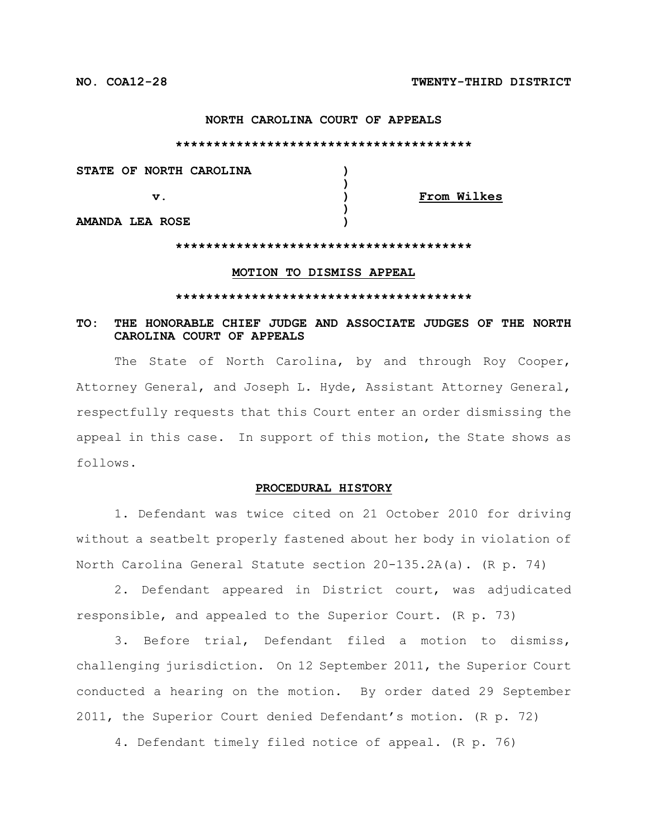### **NORTH CAROLINA COURT OF APPEALS**

**\*\*\*\*\*\*\*\*\*\*\*\*\*\*\*\*\*\*\*\*\*\*\*\*\*\*\*\*\*\*\*\*\*\*\*\*\*\*\***

**STATE OF NORTH CAROLINA ) v. ) From Wilkes**

**AMANDA LEA ROSE )**

#### **\*\*\*\*\*\*\*\*\*\*\*\*\*\*\*\*\*\*\*\*\*\*\*\*\*\*\*\*\*\*\*\*\*\*\*\*\*\*\***

**)**

**)**

#### **MOTION TO DISMISS APPEAL**

#### **\*\*\*\*\*\*\*\*\*\*\*\*\*\*\*\*\*\*\*\*\*\*\*\*\*\*\*\*\*\*\*\*\*\*\*\*\*\*\***

# **TO: THE HONORABLE CHIEF JUDGE AND ASSOCIATE JUDGES OF THE NORTH CAROLINA COURT OF APPEALS**

The State of North Carolina, by and through Roy Cooper, Attorney General, and Joseph L. Hyde, Assistant Attorney General, respectfully requests that this Court enter an order dismissing the appeal in this case. In support of this motion, the State shows as follows.

# **PROCEDURAL HISTORY**

1. Defendant was twice cited on 21 October 2010 for driving without a seatbelt properly fastened about her body in violation of North Carolina General Statute section 20-135.2A(a). (R p. 74)

2. Defendant appeared in District court, was adjudicated responsible, and appealed to the Superior Court. (R p. 73)

3. Before trial, Defendant filed a motion to dismiss, challenging jurisdiction. On 12 September 2011, the Superior Court conducted a hearing on the motion. By order dated 29 September 2011, the Superior Court denied Defendant's motion. (R p. 72)

4. Defendant timely filed notice of appeal. (R p. 76)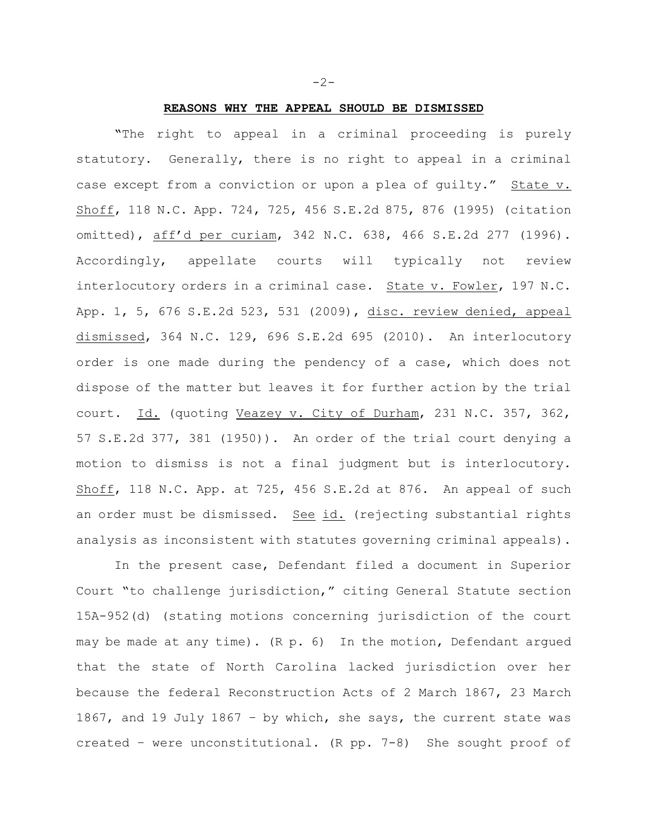# **REASONS WHY THE APPEAL SHOULD BE DISMISSED**

**"**The right to appeal in a criminal proceeding is purely statutory. Generally, there is no right to appeal in a criminal case except from a conviction or upon a plea of guilty." State v. Shoff, 118 N.C. App. 724, 725, 456 S.E.2d 875, 876 (1995) (citation omitted), aff'd per curiam, 342 N.C. 638, 466 S.E.2d 277 (1996). Accordingly, appellate courts will typically not review interlocutory orders in a criminal case. State v. Fowler, 197 N.C. App. 1, 5, 676 S.E.2d 523, 531 (2009), disc. review denied, appeal dismissed, 364 N.C. 129, 696 S.E.2d 695 (2010). An interlocutory order is one made during the pendency of a case, which does not dispose of the matter but leaves it for further action by the trial court. Id. (quoting Veazey v. City of Durham, 231 N.C. 357, 362, 57 S.E.2d 377, 381 (1950)). An order of the trial court denying a motion to dismiss is not a final judgment but is interlocutory. Shoff, 118 N.C. App. at 725, 456 S.E.2d at 876. An appeal of such an order must be dismissed. See id. (rejecting substantial rights analysis as inconsistent with statutes governing criminal appeals).

In the present case, Defendant filed a document in Superior Court "to challenge jurisdiction," citing General Statute section 15A-952(d) (stating motions concerning jurisdiction of the court may be made at any time). (R p. 6) In the motion, Defendant argued that the state of North Carolina lacked jurisdiction over her because the federal Reconstruction Acts of 2 March 1867, 23 March 1867, and 19 July 1867 – by which, she says, the current state was created – were unconstitutional. (R pp. 7-8) She sought proof of

-2-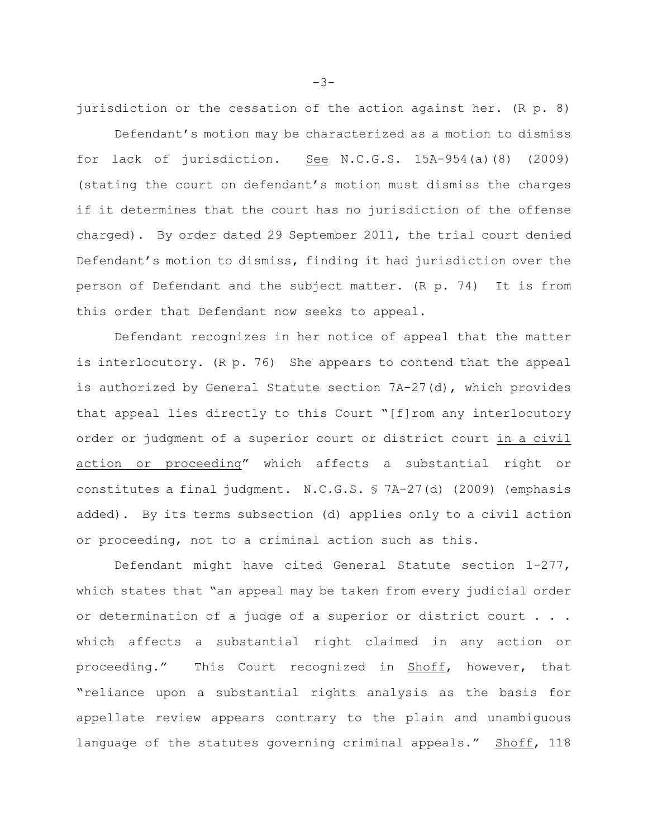jurisdiction or the cessation of the action against her. (R p. 8)

Defendant's motion may be characterized as a motion to dismiss for lack of jurisdiction. See N.C.G.S. 15A-954(a)(8) (2009) (stating the court on defendant's motion must dismiss the charges if it determines that the court has no jurisdiction of the offense charged). By order dated 29 September 2011, the trial court denied Defendant's motion to dismiss, finding it had jurisdiction over the person of Defendant and the subject matter. (R p. 74) It is from this order that Defendant now seeks to appeal.

Defendant recognizes in her notice of appeal that the matter is interlocutory. (R p. 76) She appears to contend that the appeal is authorized by General Statute section 7A-27(d), which provides that appeal lies directly to this Court "[f]rom any interlocutory order or judgment of a superior court or district court in a civil action or proceeding" which affects a substantial right or constitutes a final judgment. N.C.G.S. § 7A-27(d) (2009) (emphasis added). By its terms subsection (d) applies only to a civil action or proceeding, not to a criminal action such as this.

Defendant might have cited General Statute section 1-277, which states that "an appeal may be taken from every judicial order or determination of a judge of a superior or district court . . . which affects a substantial right claimed in any action or proceeding." This Court recognized in Shoff, however, that "reliance upon a substantial rights analysis as the basis for appellate review appears contrary to the plain and unambiguous language of the statutes governing criminal appeals." Shoff, 118

-3-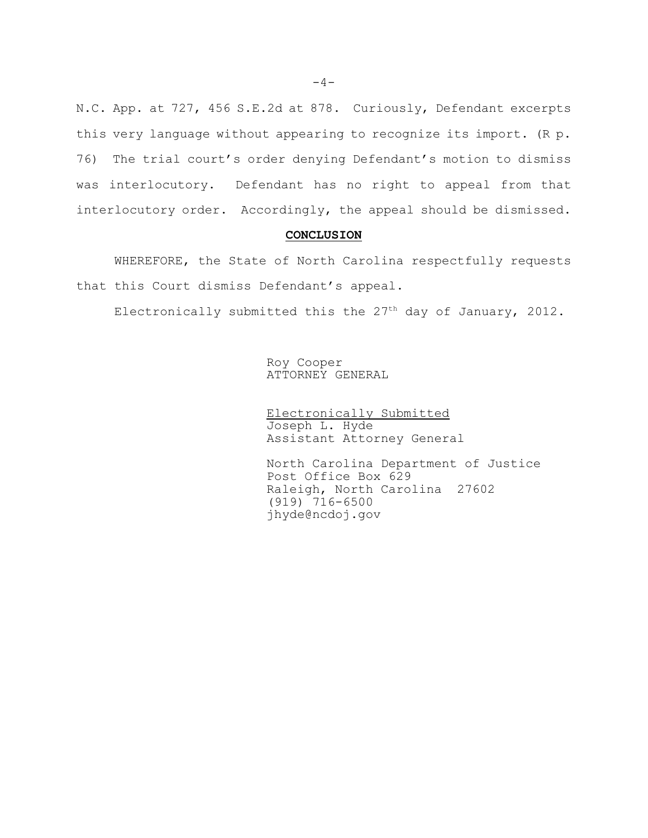N.C. App. at 727, 456 S.E.2d at 878. Curiously, Defendant excerpts this very language without appearing to recognize its import. (R p. 76) The trial court's order denying Defendant's motion to dismiss was interlocutory. Defendant has no right to appeal from that interlocutory order. Accordingly, the appeal should be dismissed.

### **CONCLUSION**

WHEREFORE, the State of North Carolina respectfully requests that this Court dismiss Defendant's appeal.

Electronically submitted this the  $27<sup>th</sup>$  day of January, 2012.

Roy Cooper ATTORNEY GENERAL

Electronically Submitted Joseph L. Hyde Assistant Attorney General

North Carolina Department of Justice Post Office Box 629 Raleigh, North Carolina 27602 (919) 716-6500 jhyde@ncdoj.gov